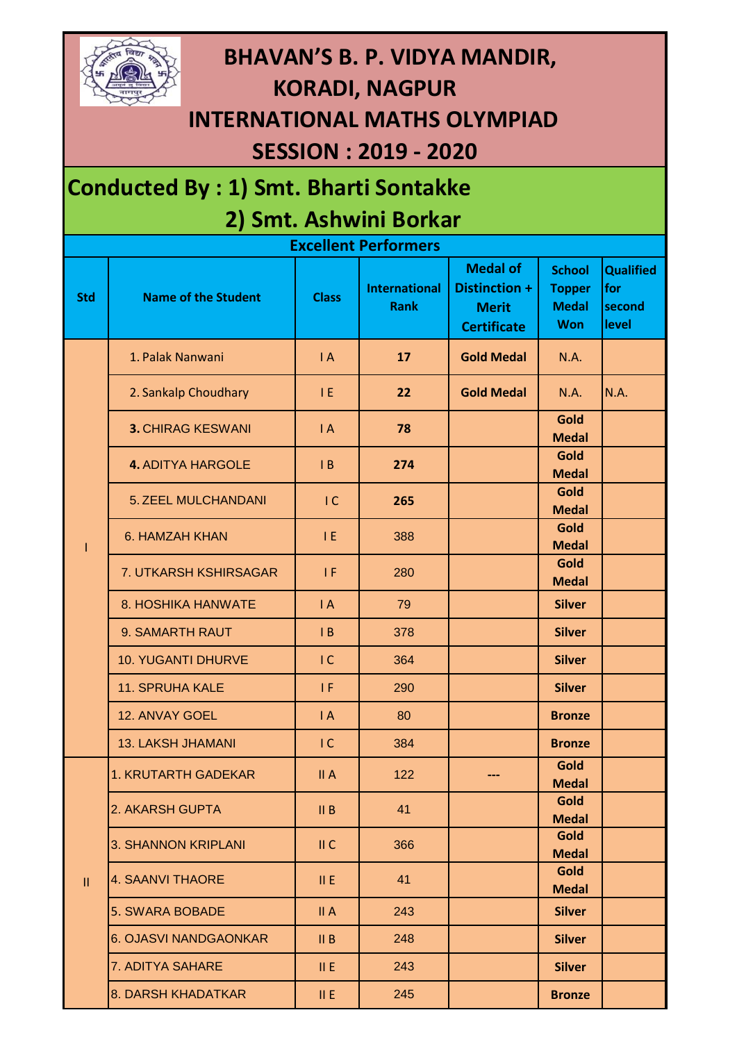

## **BHAVAN'S B. P. VIDYA MANDIR, KORADI, NAGPUR INTERNATIONAL MATHS OLYMPIAD**

## **SESSION : 2019 - 2020**

## **Conducted By : 1) Smt. Bharti Sontakke 2) Smt. Ashwini Borkar**

| <b>Excellent Performers</b> |                              |                |                                     |                                                                        |                                                              |                                            |  |  |  |  |
|-----------------------------|------------------------------|----------------|-------------------------------------|------------------------------------------------------------------------|--------------------------------------------------------------|--------------------------------------------|--|--|--|--|
| <b>Std</b>                  | <b>Name of the Student</b>   | <b>Class</b>   | <b>International</b><br><b>Rank</b> | <b>Medal of</b><br>Distinction +<br><b>Merit</b><br><b>Certificate</b> | <b>School</b><br><b>Topper</b><br><b>Medal</b><br><b>Won</b> | <b>Qualified</b><br>for<br>second<br>level |  |  |  |  |
|                             | 1. Palak Nanwani             | $\mathsf{I}$ A | 17                                  | <b>Gold Medal</b>                                                      | <b>N.A.</b>                                                  |                                            |  |  |  |  |
|                             | 2. Sankalp Choudhary         | TE.            | 22                                  | <b>Gold Medal</b>                                                      | <b>N.A.</b>                                                  | <b>N.A.</b>                                |  |  |  |  |
|                             | <b>3. CHIRAG KESWANI</b>     | $\mathsf{I}$ A | 78                                  |                                                                        | Gold<br><b>Medal</b>                                         |                                            |  |  |  |  |
|                             | <b>4. ADITYA HARGOLE</b>     | $\mathsf{I}$ B | 274                                 |                                                                        | Gold<br><b>Medal</b>                                         |                                            |  |  |  |  |
|                             | 5. ZEEL MULCHANDANI          | $\overline{C}$ | 265                                 |                                                                        | Gold<br><b>Medal</b>                                         |                                            |  |  |  |  |
|                             | 6. HAMZAH KHAN               | IE.            | 388                                 |                                                                        | Gold<br><b>Medal</b>                                         |                                            |  |  |  |  |
|                             | 7. UTKARSH KSHIRSAGAR        | 1F             | 280                                 |                                                                        | Gold<br><b>Medal</b>                                         |                                            |  |  |  |  |
|                             | 8. HOSHIKA HANWATE           | $\mathsf{I}$ A | 79                                  |                                                                        | <b>Silver</b>                                                |                                            |  |  |  |  |
|                             | 9. SAMARTH RAUT              | $\mathsf{I}$ B | 378                                 |                                                                        | <b>Silver</b>                                                |                                            |  |  |  |  |
|                             | <b>10. YUGANTI DHURVE</b>    | IC             | 364                                 |                                                                        | <b>Silver</b>                                                |                                            |  |  |  |  |
|                             | <b>11. SPRUHA KALE</b>       | 1 F            | 290                                 |                                                                        | <b>Silver</b>                                                |                                            |  |  |  |  |
|                             | 12. ANVAY GOEL               | $\mathsf{I}$ A | 80                                  |                                                                        | <b>Bronze</b>                                                |                                            |  |  |  |  |
|                             | <b>13. LAKSH JHAMANI</b>     | IC             | 384                                 |                                                                        | <b>Bronze</b>                                                |                                            |  |  |  |  |
| $\mathbf{II}$               | <b>1. KRUTARTH GADEKAR</b>   | II A           | 122                                 |                                                                        | Gold<br><b>Medal</b>                                         |                                            |  |  |  |  |
|                             | 2. AKARSH GUPTA              | II B           | 41                                  |                                                                        | Gold<br><b>Medal</b>                                         |                                            |  |  |  |  |
|                             | <b>3. SHANNON KRIPLANI</b>   | II C           | 366                                 |                                                                        | Gold<br><b>Medal</b>                                         |                                            |  |  |  |  |
|                             | <b>4. SAANVI THAORE</b>      | II E           | 41                                  |                                                                        | Gold<br><b>Medal</b>                                         |                                            |  |  |  |  |
|                             | <b>5. SWARA BOBADE</b>       | II A           | 243                                 |                                                                        | <b>Silver</b>                                                |                                            |  |  |  |  |
|                             | <b>6. OJASVI NANDGAONKAR</b> | II B           | 248                                 |                                                                        | <b>Silver</b>                                                |                                            |  |  |  |  |
|                             | 7. ADITYA SAHARE             | II E           | 243                                 |                                                                        | <b>Silver</b>                                                |                                            |  |  |  |  |
|                             | 8. DARSH KHADATKAR           | II E           | 245                                 |                                                                        | <b>Bronze</b>                                                |                                            |  |  |  |  |